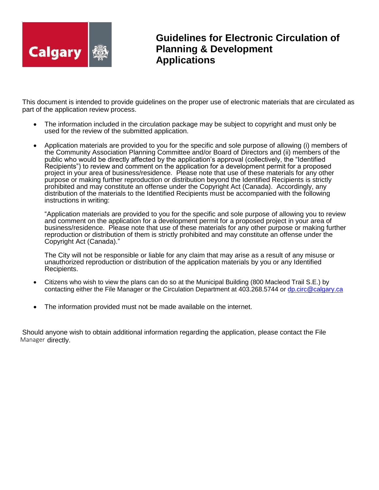

## **Guidelines for Electronic Circulation of Planning & Development Applications**

This document is intended to provide guidelines on the proper use of electronic materials that are circulated as part of the application review process.

- The information included in the circulation package may be subject to copyright and must only be used for the review of the submitted application.
- Application materials are provided to you for the specific and sole purpose of allowing (i) members of the Community Association Planning Committee and/or Board of Directors and (ii) members of the public who would be directly affected by the application's approval (collectively, the "Identified Recipients") to review and comment on the application for a development permit for a proposed project in your area of business/residence. Please note that use of these materials for any other purpose or making further reproduction or distribution beyond the Identified Recipients is strictly prohibited and may constitute an offense under the Copyright Act (Canada). Accordingly, any distribution of the materials to the Identified Recipients must be accompanied with the following instructions in writing:

"Application materials are provided to you for the specific and sole purpose of allowing you to review and comment on the application for a development permit for a proposed project in your area of business/residence. Please note that use of these materials for any other purpose or making further reproduction or distribution of them is strictly prohibited and may constitute an offense under the Copyright Act (Canada)."

The City will not be responsible or liable for any claim that may arise as a result of any misuse or unauthorized reproduction or distribution of the application materials by you or any Identified Recipients.

- Citizens who wish to view the plans can do so at the Municipal Building (800 Macleod Trail S.E.) by contacting either the File Manager or the Circulation Department at 403.268.5744 or dp.circ@calgary.ca
- The information provided must not be made available on the internet.

Should anyone wish to obtain additional information regarding the application, please contact the File Manager directly.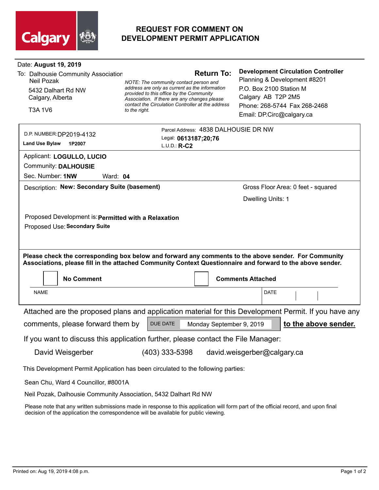

## **REQUEST FOR COMMENT ON DEVELOPMENT PERMIT APPLICATION**

| Date: August 19, 2019                                |                                                                                                                                                                                                                    |                                      |                                                    |                           |  |
|------------------------------------------------------|--------------------------------------------------------------------------------------------------------------------------------------------------------------------------------------------------------------------|--------------------------------------|----------------------------------------------------|---------------------------|--|
| To: Dalhousie Community Association                  | <b>Return To:</b><br>NOTE: The community contact person and                                                                                                                                                        |                                      | <b>Development Circulation Controller</b>          |                           |  |
| Neil Pozak                                           |                                                                                                                                                                                                                    |                                      | Planning & Development #8201                       |                           |  |
| 5432 Dalhart Rd NW                                   | address are only as current as the information<br>provided to this office by the Community                                                                                                                         |                                      | P.O. Box 2100 Station M                            |                           |  |
| Calgary, Alberta                                     | Association. If there are any changes please<br>contact the Circulation Controller at the address<br>to the right.                                                                                                 |                                      | Calgary AB T2P 2M5<br>Phone: 268-5744 Fax 268-2468 |                           |  |
| T3A 1V6                                              |                                                                                                                                                                                                                    |                                      |                                                    |                           |  |
|                                                      |                                                                                                                                                                                                                    |                                      |                                                    | Email: DP.Circ@calgary.ca |  |
|                                                      |                                                                                                                                                                                                                    | Parcel Address: 4838 DALHOUSIE DR NW |                                                    |                           |  |
| D.P. NUMBER: DP2019-4132                             | Legal: 0613187;20;76                                                                                                                                                                                               |                                      |                                                    |                           |  |
| <b>Land Use Bylaw</b><br>1P2007                      | $L.U.D.: R-C2$                                                                                                                                                                                                     |                                      |                                                    |                           |  |
| Applicant: LOGULLO, LUCIO                            |                                                                                                                                                                                                                    |                                      |                                                    |                           |  |
| Community: DALHOUSIE                                 |                                                                                                                                                                                                                    |                                      |                                                    |                           |  |
| Sec. Number: 1NW<br>Ward: $04$                       |                                                                                                                                                                                                                    |                                      |                                                    |                           |  |
| Description: New: Secondary Suite (basement)         |                                                                                                                                                                                                                    | Gross Floor Area: 0 feet - squared   |                                                    |                           |  |
|                                                      |                                                                                                                                                                                                                    |                                      | Dwelling Units: 1                                  |                           |  |
|                                                      |                                                                                                                                                                                                                    |                                      |                                                    |                           |  |
| Proposed Development is: Permitted with a Relaxation |                                                                                                                                                                                                                    |                                      |                                                    |                           |  |
| Proposed Use: Secondary Suite                        |                                                                                                                                                                                                                    |                                      |                                                    |                           |  |
| <b>No Comment</b>                                    | Please check the corresponding box below and forward any comments to the above sender. For Community<br>Associations, please fill in the attached Community Context Questionnaire and forward to the above sender. |                                      | <b>Comments Attached</b>                           |                           |  |
|                                                      |                                                                                                                                                                                                                    |                                      |                                                    |                           |  |
| <b>NAME</b>                                          |                                                                                                                                                                                                                    |                                      | <b>DATE</b>                                        |                           |  |
|                                                      | Attached are the proposed plans and application material for this Development Permit. If you have any                                                                                                              |                                      |                                                    |                           |  |
| comments, please forward them by                     | DUE DATE                                                                                                                                                                                                           |                                      | Monday September 9, 2019                           | to the above sender.      |  |
|                                                      |                                                                                                                                                                                                                    |                                      |                                                    |                           |  |
|                                                      | If you want to discuss this application further, please contact the File Manager:                                                                                                                                  |                                      |                                                    |                           |  |
| David Weisgerber                                     | $(403)$ 333-5398                                                                                                                                                                                                   |                                      | david.weisgerber@calgary.ca                        |                           |  |
|                                                      | This Development Permit Application has been circulated to the following parties:                                                                                                                                  |                                      |                                                    |                           |  |
| Sean Chu, Ward 4 Councillor, #8001A                  |                                                                                                                                                                                                                    |                                      |                                                    |                           |  |
|                                                      | Neil Pozak, Dalhousie Community Association, 5432 Dalhart Rd NW                                                                                                                                                    |                                      |                                                    |                           |  |
|                                                      | Please note that any written submissions made in response to this application will form part of the official record, and upon final                                                                                |                                      |                                                    |                           |  |
|                                                      |                                                                                                                                                                                                                    |                                      |                                                    |                           |  |

Please note that any written submissions made in response to this application will form part of the official record, and upon final decision of the application the correspondence will be available for public viewing.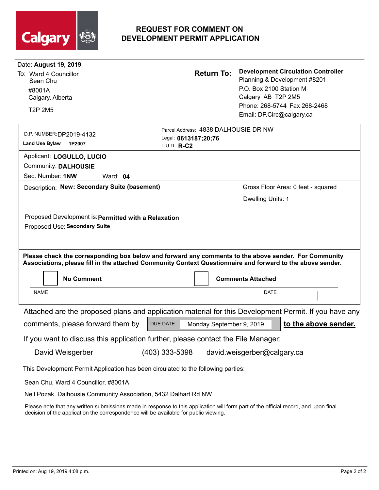

## **REQUEST FOR COMMENT ON DEVELOPMENT PERMIT APPLICATION**

| Date: August 19, 2019                                                                                                                                                                                                       |                                             |                                                                                                       |
|-----------------------------------------------------------------------------------------------------------------------------------------------------------------------------------------------------------------------------|---------------------------------------------|-------------------------------------------------------------------------------------------------------|
| To: Ward 4 Councillor                                                                                                                                                                                                       | <b>Return To:</b>                           | <b>Development Circulation Controller</b>                                                             |
| Sean Chu                                                                                                                                                                                                                    |                                             | Planning & Development #8201<br>P.O. Box 2100 Station M                                               |
| #8001A<br>Calgary, Alberta                                                                                                                                                                                                  |                                             | Calgary AB T2P 2M5                                                                                    |
|                                                                                                                                                                                                                             |                                             | Phone: 268-5744 Fax 268-2468                                                                          |
| <b>T2P 2M5</b>                                                                                                                                                                                                              |                                             | Email: DP.Circ@calgary.ca                                                                             |
|                                                                                                                                                                                                                             |                                             |                                                                                                       |
| D.P. NUMBER: DP2019-4132                                                                                                                                                                                                    | Parcel Address: 4838 DALHOUSIE DR NW        |                                                                                                       |
| <b>Land Use Bylaw</b><br>1P2007                                                                                                                                                                                             | Legal: 0613187;20;76<br>$L.U.D.: R-C2$      |                                                                                                       |
| Applicant: LOGULLO, LUCIO                                                                                                                                                                                                   |                                             |                                                                                                       |
| Community: DALHOUSIE                                                                                                                                                                                                        |                                             |                                                                                                       |
| Sec. Number: 1NW<br>Ward: 04                                                                                                                                                                                                |                                             |                                                                                                       |
| Description: New: Secondary Suite (basement)                                                                                                                                                                                |                                             | Gross Floor Area: 0 feet - squared                                                                    |
|                                                                                                                                                                                                                             |                                             | Dwelling Units: 1                                                                                     |
| Please check the corresponding box below and forward any comments to the above sender. For Community<br>Associations, please fill in the attached Community Context Questionnaire and forward to the above sender.          |                                             |                                                                                                       |
| <b>No Comment</b>                                                                                                                                                                                                           |                                             | <b>Comments Attached</b>                                                                              |
| <b>NAME</b>                                                                                                                                                                                                                 |                                             | <b>DATE</b>                                                                                           |
|                                                                                                                                                                                                                             |                                             | Attached are the proposed plans and application material for this Development Permit. If you have any |
| comments, please forward them by                                                                                                                                                                                            | <b>DUE DATE</b><br>Monday September 9, 2019 | to the above sender.                                                                                  |
| If you want to discuss this application further, please contact the File Manager:                                                                                                                                           |                                             |                                                                                                       |
| David Weisgerber                                                                                                                                                                                                            | (403) 333-5398                              | david.weisgerber@calgary.ca                                                                           |
| This Development Permit Application has been circulated to the following parties:                                                                                                                                           |                                             |                                                                                                       |
| Sean Chu, Ward 4 Councillor, #8001A                                                                                                                                                                                         |                                             |                                                                                                       |
| Neil Pozak, Dalhousie Community Association, 5432 Dalhart Rd NW                                                                                                                                                             |                                             |                                                                                                       |
| Please note that any written submissions made in response to this application will form part of the official record, and upon final<br>decision of the application the correspondence will be available for public viewing. |                                             |                                                                                                       |